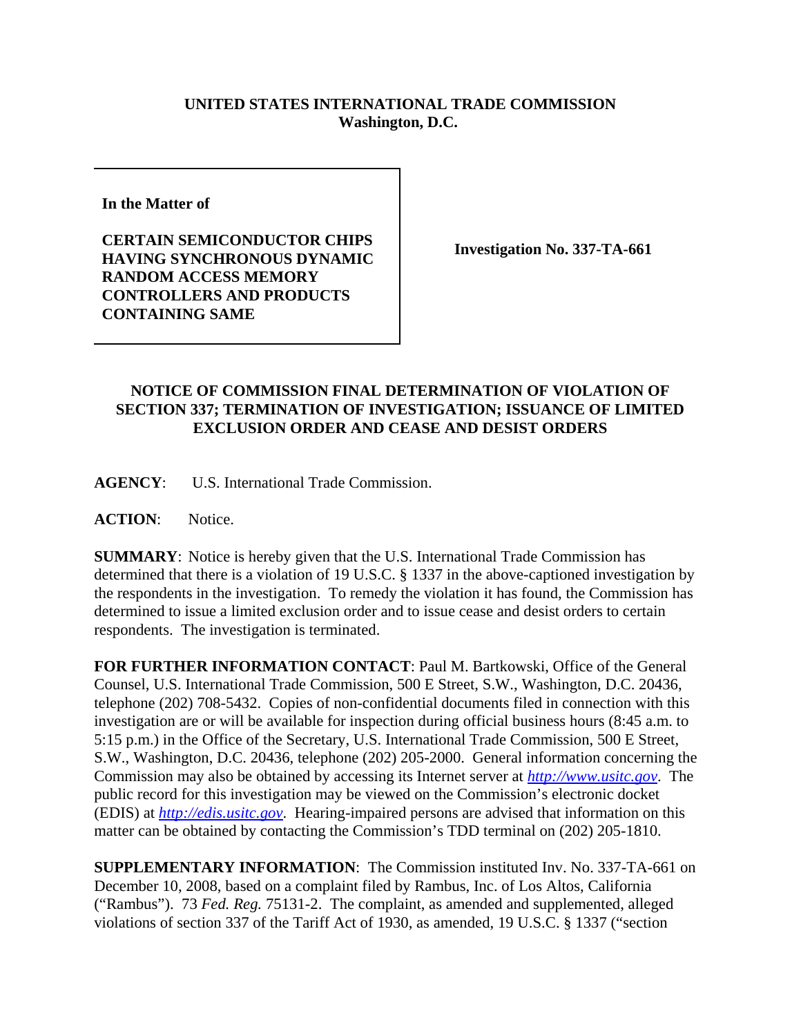## **UNITED STATES INTERNATIONAL TRADE COMMISSION Washington, D.C.**

**In the Matter of** 

**CERTAIN SEMICONDUCTOR CHIPS HAVING SYNCHRONOUS DYNAMIC RANDOM ACCESS MEMORY CONTROLLERS AND PRODUCTS CONTAINING SAME**

**Investigation No. 337-TA-661**

## **NOTICE OF COMMISSION FINAL DETERMINATION OF VIOLATION OF SECTION 337; TERMINATION OF INVESTIGATION; ISSUANCE OF LIMITED EXCLUSION ORDER AND CEASE AND DESIST ORDERS**

**AGENCY**: U.S. International Trade Commission.

**ACTION**: Notice.

**SUMMARY**: Notice is hereby given that the U.S. International Trade Commission has determined that there is a violation of 19 U.S.C. § 1337 in the above-captioned investigation by the respondents in the investigation. To remedy the violation it has found, the Commission has determined to issue a limited exclusion order and to issue cease and desist orders to certain respondents. The investigation is terminated.

**FOR FURTHER INFORMATION CONTACT**: Paul M. Bartkowski, Office of the General Counsel, U.S. International Trade Commission, 500 E Street, S.W., Washington, D.C. 20436, telephone (202) 708-5432. Copies of non-confidential documents filed in connection with this investigation are or will be available for inspection during official business hours (8:45 a.m. to 5:15 p.m.) in the Office of the Secretary, U.S. International Trade Commission, 500 E Street, S.W., Washington, D.C. 20436, telephone (202) 205-2000. General information concerning the Commission may also be obtained by accessing its Internet server at *http://www.usitc.gov*. The public record for this investigation may be viewed on the Commission's electronic docket (EDIS) at *http://edis.usitc.gov*. Hearing-impaired persons are advised that information on this matter can be obtained by contacting the Commission's TDD terminal on (202) 205-1810.

**SUPPLEMENTARY INFORMATION**: The Commission instituted Inv. No. 337-TA-661 on December 10, 2008, based on a complaint filed by Rambus, Inc. of Los Altos, California ("Rambus"). 73 *Fed. Reg.* 75131-2. The complaint, as amended and supplemented, alleged violations of section 337 of the Tariff Act of 1930, as amended, 19 U.S.C. § 1337 ("section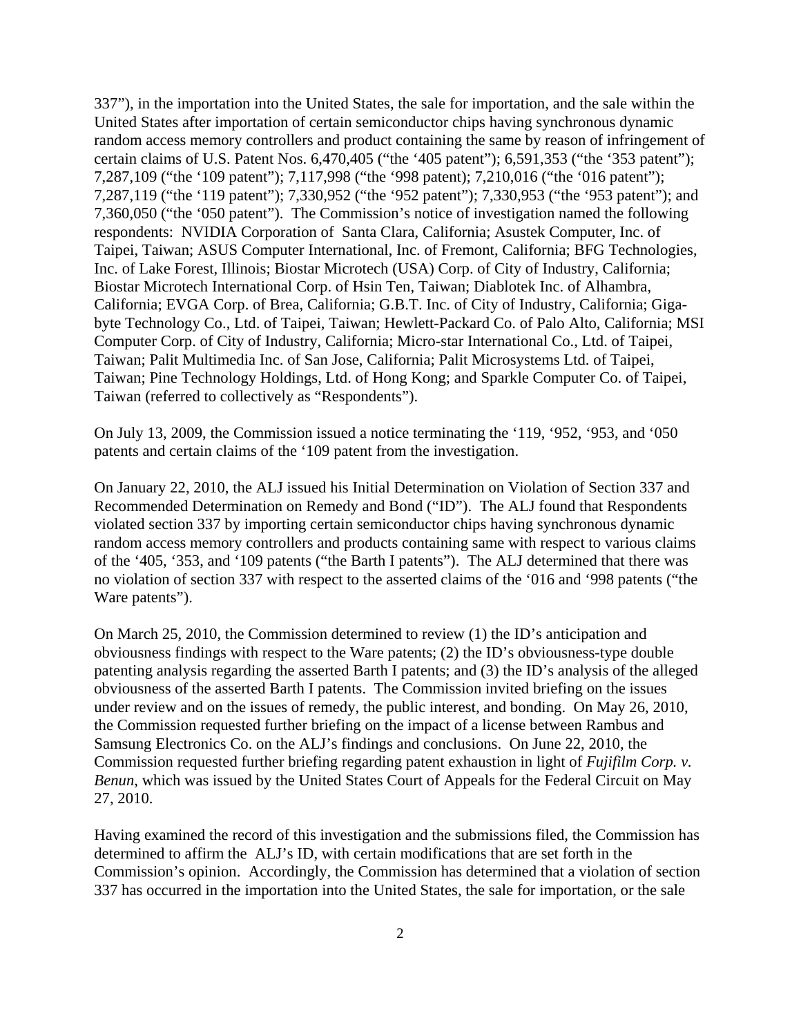337"), in the importation into the United States, the sale for importation, and the sale within the United States after importation of certain semiconductor chips having synchronous dynamic random access memory controllers and product containing the same by reason of infringement of certain claims of U.S. Patent Nos. 6,470,405 ("the '405 patent"); 6,591,353 ("the '353 patent"); 7,287,109 ("the '109 patent"); 7,117,998 ("the '998 patent); 7,210,016 ("the '016 patent"); 7,287,119 ("the '119 patent"); 7,330,952 ("the '952 patent"); 7,330,953 ("the '953 patent"); and 7,360,050 ("the '050 patent"). The Commission's notice of investigation named the following respondents: NVIDIA Corporation of Santa Clara, California; Asustek Computer, Inc. of Taipei, Taiwan; ASUS Computer International, Inc. of Fremont, California; BFG Technologies, Inc. of Lake Forest, Illinois; Biostar Microtech (USA) Corp. of City of Industry, California; Biostar Microtech International Corp. of Hsin Ten, Taiwan; Diablotek Inc. of Alhambra, California; EVGA Corp. of Brea, California; G.B.T. Inc. of City of Industry, California; Gigabyte Technology Co., Ltd. of Taipei, Taiwan; Hewlett-Packard Co. of Palo Alto, California; MSI Computer Corp. of City of Industry, California; Micro-star International Co., Ltd. of Taipei, Taiwan; Palit Multimedia Inc. of San Jose, California; Palit Microsystems Ltd. of Taipei, Taiwan; Pine Technology Holdings, Ltd. of Hong Kong; and Sparkle Computer Co. of Taipei, Taiwan (referred to collectively as "Respondents").

On July 13, 2009, the Commission issued a notice terminating the '119, '952, '953, and '050 patents and certain claims of the '109 patent from the investigation.

On January 22, 2010, the ALJ issued his Initial Determination on Violation of Section 337 and Recommended Determination on Remedy and Bond ("ID"). The ALJ found that Respondents violated section 337 by importing certain semiconductor chips having synchronous dynamic random access memory controllers and products containing same with respect to various claims of the '405, '353, and '109 patents ("the Barth I patents"). The ALJ determined that there was no violation of section 337 with respect to the asserted claims of the '016 and '998 patents ("the Ware patents").

On March 25, 2010, the Commission determined to review (1) the ID's anticipation and obviousness findings with respect to the Ware patents; (2) the ID's obviousness-type double patenting analysis regarding the asserted Barth I patents; and (3) the ID's analysis of the alleged obviousness of the asserted Barth I patents. The Commission invited briefing on the issues under review and on the issues of remedy, the public interest, and bonding. On May 26, 2010, the Commission requested further briefing on the impact of a license between Rambus and Samsung Electronics Co. on the ALJ's findings and conclusions. On June 22, 2010, the Commission requested further briefing regarding patent exhaustion in light of *Fujifilm Corp. v. Benun*, which was issued by the United States Court of Appeals for the Federal Circuit on May 27, 2010.

Having examined the record of this investigation and the submissions filed, the Commission has determined to affirm the ALJ's ID, with certain modifications that are set forth in the Commission's opinion. Accordingly, the Commission has determined that a violation of section 337 has occurred in the importation into the United States, the sale for importation, or the sale